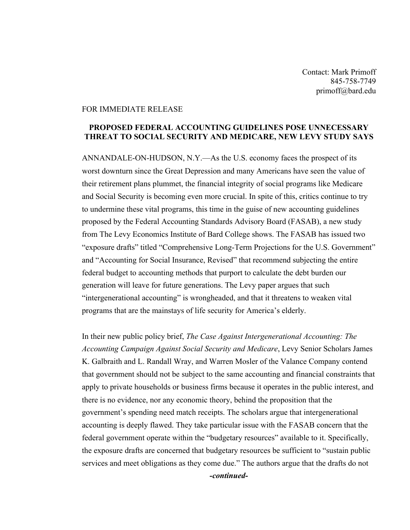Contact: Mark Primoff 845-758-7749 primoff@bard.edu

## FOR IMMEDIATE RELEASE

## **PROPOSED FEDERAL ACCOUNTING GUIDELINES POSE UNNECESSARY THREAT TO SOCIAL SECURITY AND MEDICARE, NEW LEVY STUDY SAYS**

ANNANDALE-ON-HUDSON, N.Y.—As the U.S. economy faces the prospect of its worst downturn since the Great Depression and many Americans have seen the value of their retirement plans plummet, the financial integrity of social programs like Medicare and Social Security is becoming even more crucial. In spite of this, critics continue to try to undermine these vital programs, this time in the guise of new accounting guidelines proposed by the Federal Accounting Standards Advisory Board (FASAB), a new study from The Levy Economics Institute of Bard College shows. The FASAB has issued two "exposure drafts" titled "Comprehensive Long-Term Projections for the U.S. Government" and "Accounting for Social Insurance, Revised" that recommend subjecting the entire federal budget to accounting methods that purport to calculate the debt burden our generation will leave for future generations. The Levy paper argues that such "intergenerational accounting" is wrongheaded, and that it threatens to weaken vital programs that are the mainstays of life security for America's elderly.

In their new public policy brief, *The Case Against Intergenerational Accounting: The Accounting Campaign Against Social Security and Medicare*, Levy Senior Scholars James K. Galbraith and L. Randall Wray, and Warren Mosler of the Valance Company contend that government should not be subject to the same accounting and financial constraints that apply to private households or business firms because it operates in the public interest, and there is no evidence, nor any economic theory, behind the proposition that the government's spending need match receipts. The scholars argue that intergenerational accounting is deeply flawed. They take particular issue with the FASAB concern that the federal government operate within the "budgetary resources" available to it. Specifically, the exposure drafts are concerned that budgetary resources be sufficient to "sustain public services and meet obligations as they come due." The authors argue that the drafts do not *-continued-*